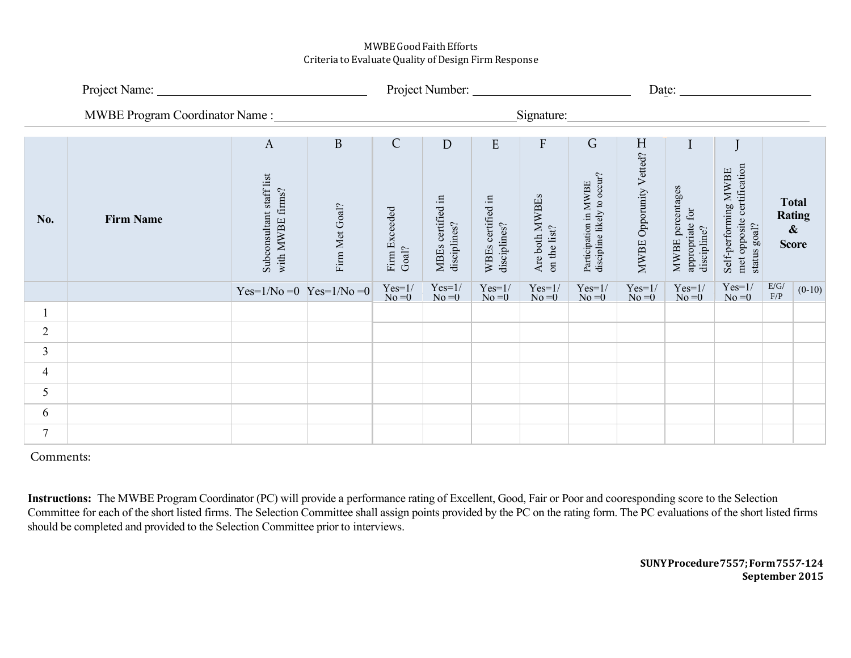## MWBEGoodFaith Efforts Criteria to Evaluate Quality of Design Firm Response

|                |                  |                                                              |                     | Project Number:                        |                                        |                                        |                                             |                                                           | Date: $\overline{\phantom{a}}$ |                                                                   |                                                                    |                         |                                               |
|----------------|------------------|--------------------------------------------------------------|---------------------|----------------------------------------|----------------------------------------|----------------------------------------|---------------------------------------------|-----------------------------------------------------------|--------------------------------|-------------------------------------------------------------------|--------------------------------------------------------------------|-------------------------|-----------------------------------------------|
|                |                  |                                                              |                     |                                        |                                        |                                        | Signature:                                  |                                                           |                                |                                                                   |                                                                    |                         |                                               |
| No.            | <b>Firm Name</b> | $\mathbf{A}$<br>Subconsultant staff list<br>with MWBE firms? | B<br>Firm Met Goal? | $\mathsf{C}$<br>Firm Exceeded<br>Goal? | D<br>MBEs certified in<br>disciplines? | E<br>WBEs certified in<br>disciplines? | ${\rm F}$<br>Are both MWBEs<br>on the list? | G<br>Participation in MWBE<br>discipline likely to occur? | H<br>MWBE Opporunity Vetted?   | $\mathbf I$<br>MWBE percentages<br>appropriate for<br>discipline? | met opposite certification<br>Self-performing MWBE<br>status goal? | $\pmb{\&}$              | <b>Total</b><br><b>Rating</b><br><b>Score</b> |
|                |                  | $Yes=1/No=0$ $Yes=1/No=0$                                    |                     | $Yes=1/No=0$                           | $Yes=1/No=0$                           | $Yes=1/No=0$                           | $Yes=1/No=0$                                | $Yes=1/No=0$                                              | $Yes=1/No=0$                   | $Yes=1/No=0$                                                      | $Yes=1/$<br>$No = 0$                                               | $\rm E/G/$<br>$\rm F/P$ | $(0-10)$                                      |
|                |                  |                                                              |                     |                                        |                                        |                                        |                                             |                                                           |                                |                                                                   |                                                                    |                         |                                               |
| $\overline{2}$ |                  |                                                              |                     |                                        |                                        |                                        |                                             |                                                           |                                |                                                                   |                                                                    |                         |                                               |
| 3              |                  |                                                              |                     |                                        |                                        |                                        |                                             |                                                           |                                |                                                                   |                                                                    |                         |                                               |
| $\overline{4}$ |                  |                                                              |                     |                                        |                                        |                                        |                                             |                                                           |                                |                                                                   |                                                                    |                         |                                               |
| 5              |                  |                                                              |                     |                                        |                                        |                                        |                                             |                                                           |                                |                                                                   |                                                                    |                         |                                               |
| 6              |                  |                                                              |                     |                                        |                                        |                                        |                                             |                                                           |                                |                                                                   |                                                                    |                         |                                               |
| 7              |                  |                                                              |                     |                                        |                                        |                                        |                                             |                                                           |                                |                                                                   |                                                                    |                         |                                               |

Comments:

**Instructions:** The MWBE Program Coordinator (PC) will provide a performance rating of Excellent, Good, Fair or Poor and cooresponding score to the Selection Committee for each of the short listed firms. The Selection Committee shall assign points provided by the PC on the rating form. The PC evaluations of the short listed firms should be completed and provided to the Selection Committee prior to interviews.

> **SUNY Procedure7557; Form 755***7***-124 September 2015**